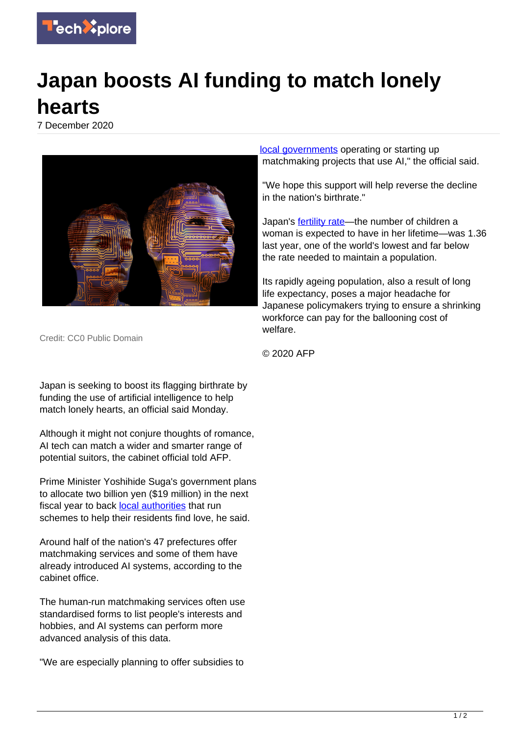

## **Japan boosts AI funding to match lonely hearts**

7 December 2020



Credit: CC0 Public Domain

Japan is seeking to boost its flagging birthrate by funding the use of artificial intelligence to help match lonely hearts, an official said Monday.

Although it might not conjure thoughts of romance, AI tech can match a wider and smarter range of potential suitors, the cabinet official told AFP.

Prime Minister Yoshihide Suga's government plans to allocate two billion yen (\$19 million) in the next fiscal year to back [local authorities](https://techxplore.com/tags/local+authorities/) that run schemes to help their residents find love, he said.

Around half of the nation's 47 prefectures offer matchmaking services and some of them have already introduced AI systems, according to the cabinet office.

The human-run matchmaking services often use standardised forms to list people's interests and hobbies, and AI systems can perform more advanced analysis of this data.

"We are especially planning to offer subsidies to

[local governments](https://techxplore.com/tags/local+governments/) operating or starting up matchmaking projects that use AI," the official said.

"We hope this support will help reverse the decline in the nation's birthrate."

Japan's **fertility rate—the number of children a** woman is expected to have in her lifetime—was 1.36 last year, one of the world's lowest and far below the rate needed to maintain a population.

Its rapidly ageing population, also a result of long life expectancy, poses a major headache for Japanese policymakers trying to ensure a shrinking workforce can pay for the ballooning cost of welfare.

© 2020 AFP